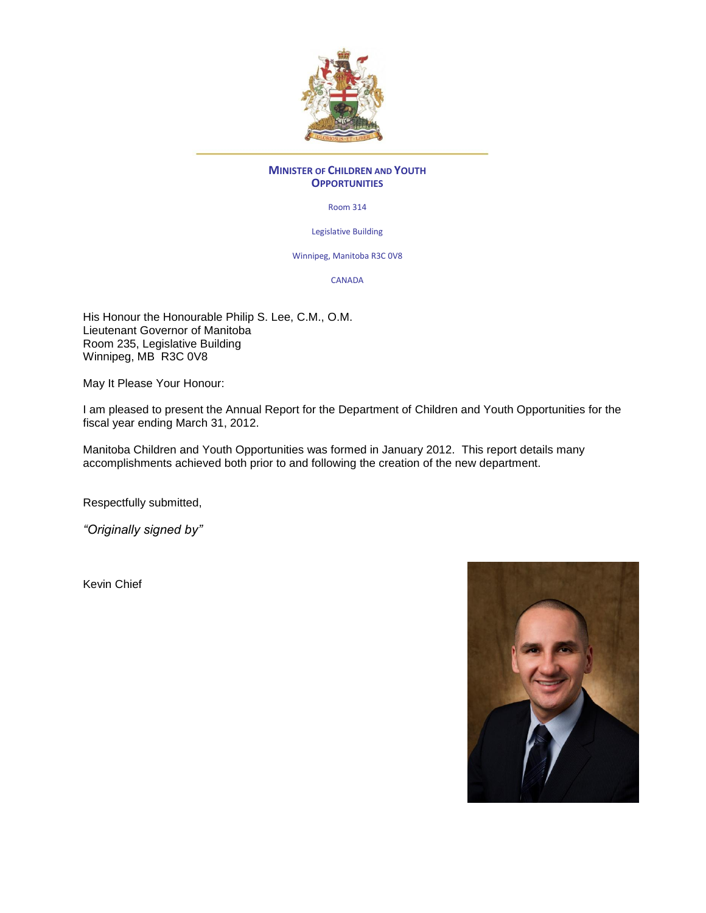

#### **MINISTER OF CHILDREN AND YOUTH OPPORTUNITIES**

Room 314

Legislative Building

Winnipeg, Manitoba R3C 0V8

CANADA

His Honour the Honourable Philip S. Lee, C.M., O.M. Lieutenant Governor of Manitoba Room 235, Legislative Building Winnipeg, MB R3C 0V8

May It Please Your Honour:

I am pleased to present the Annual Report for the Department of Children and Youth Opportunities for the fiscal year ending March 31, 2012.

Manitoba Children and Youth Opportunities was formed in January 2012. This report details many accomplishments achieved both prior to and following the creation of the new department.

Respectfully submitted,

*"Originally signed by"*

Kevin Chief

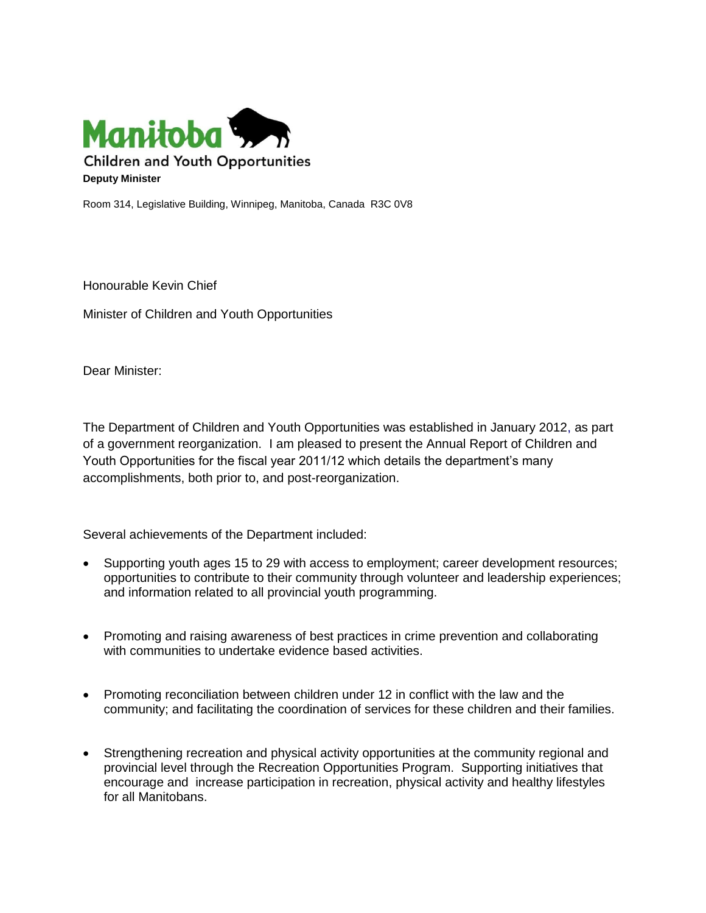

Room 314, Legislative Building, Winnipeg, Manitoba, Canada R3C 0V8

Honourable Kevin Chief

Minister of Children and Youth Opportunities

Dear Minister:

The Department of Children and Youth Opportunities was established in January 2012, as part of a government reorganization. I am pleased to present the Annual Report of Children and Youth Opportunities for the fiscal year 2011/12 which details the department's many accomplishments, both prior to, and post-reorganization.

Several achievements of the Department included:

- Supporting youth ages 15 to 29 with access to employment; career development resources; opportunities to contribute to their community through volunteer and leadership experiences; and information related to all provincial youth programming.
- Promoting and raising awareness of best practices in crime prevention and collaborating with communities to undertake evidence based activities.
- Promoting reconciliation between children under 12 in conflict with the law and the community; and facilitating the coordination of services for these children and their families.
- Strengthening recreation and physical activity opportunities at the community regional and provincial level through the Recreation Opportunities Program. Supporting initiatives that encourage and increase participation in recreation, physical activity and healthy lifestyles for all Manitobans.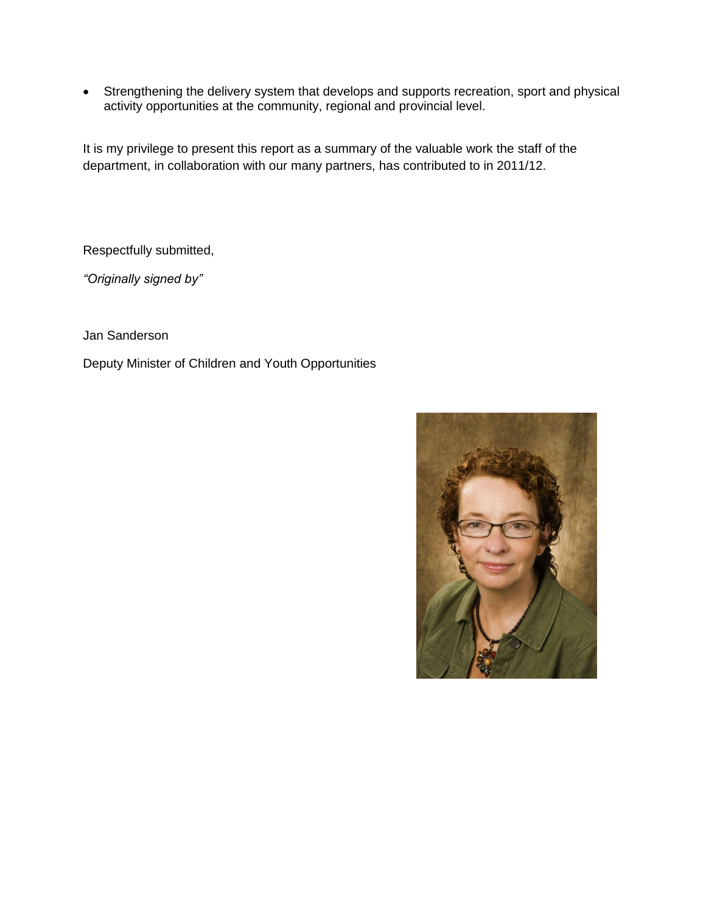Strengthening the delivery system that develops and supports recreation, sport and physical activity opportunities at the community, regional and provincial level.

It is my privilege to present this report as a summary of the valuable work the staff of the department, in collaboration with our many partners, has contributed to in 2011/12.

Respectfully submitted,

*"Originally signed by"*

Jan Sanderson

Deputy Minister of Children and Youth Opportunities

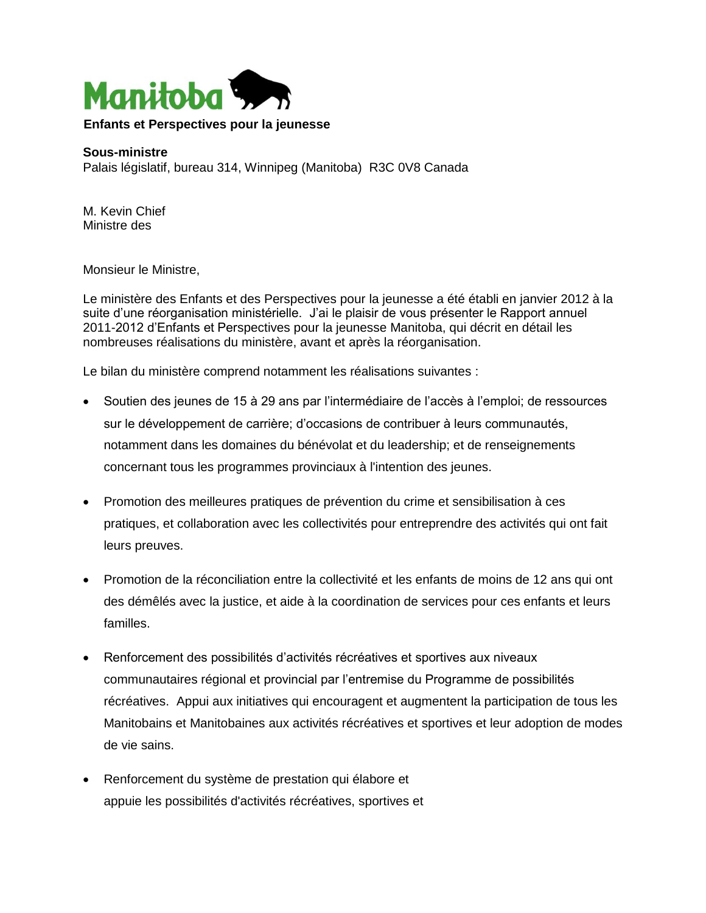

#### **Sous-ministre**

Palais législatif, bureau 314, Winnipeg (Manitoba) R3C 0V8 Canada

M. Kevin Chief Ministre des

Monsieur le Ministre,

Le ministère des Enfants et des Perspectives pour la jeunesse a été établi en janvier 2012 à la suite d'une réorganisation ministérielle. J'ai le plaisir de vous présenter le Rapport annuel 2011-2012 d'Enfants et Perspectives pour la jeunesse Manitoba, qui décrit en détail les nombreuses réalisations du ministère, avant et après la réorganisation.

Le bilan du ministère comprend notamment les réalisations suivantes :

- Soutien des jeunes de 15 à 29 ans par l'intermédiaire de l'accès à l'emploi; de ressources sur le développement de carrière; d'occasions de contribuer à leurs communautés, notamment dans les domaines du bénévolat et du leadership; et de renseignements concernant tous les programmes provinciaux à l'intention des jeunes.
- Promotion des meilleures pratiques de prévention du crime et sensibilisation à ces pratiques, et collaboration avec les collectivités pour entreprendre des activités qui ont fait leurs preuves.
- Promotion de la réconciliation entre la collectivité et les enfants de moins de 12 ans qui ont des démêlés avec la justice, et aide à la coordination de services pour ces enfants et leurs familles.
- Renforcement des possibilités d'activités récréatives et sportives aux niveaux communautaires régional et provincial par l'entremise du Programme de possibilités récréatives. Appui aux initiatives qui encouragent et augmentent la participation de tous les Manitobains et Manitobaines aux activités récréatives et sportives et leur adoption de modes de vie sains.
- Renforcement du système de prestation qui élabore et appuie les possibilités d'activités récréatives, sportives et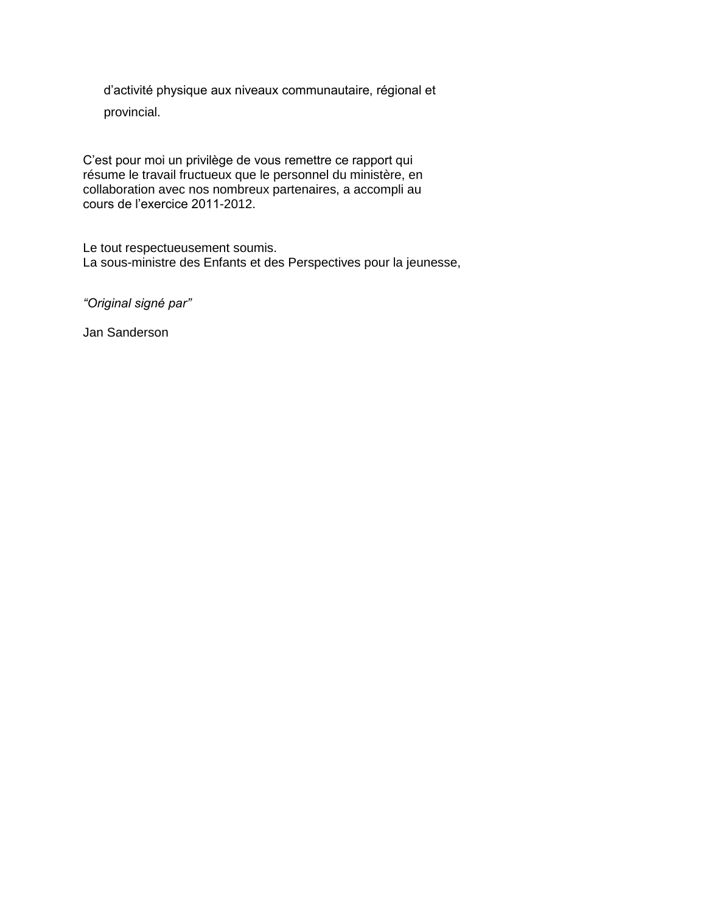d'activité physique aux niveaux communautaire, régional et provincial.

C'est pour moi un privilège de vous remettre ce rapport qui résume le travail fructueux que le personnel du ministère, en collaboration avec nos nombreux partenaires, a accompli au cours de l'exercice 2011-2012.

Le tout respectueusement soumis. La sous-ministre des Enfants et des Perspectives pour la jeunesse,

*"Original signé par"*

Jan Sanderson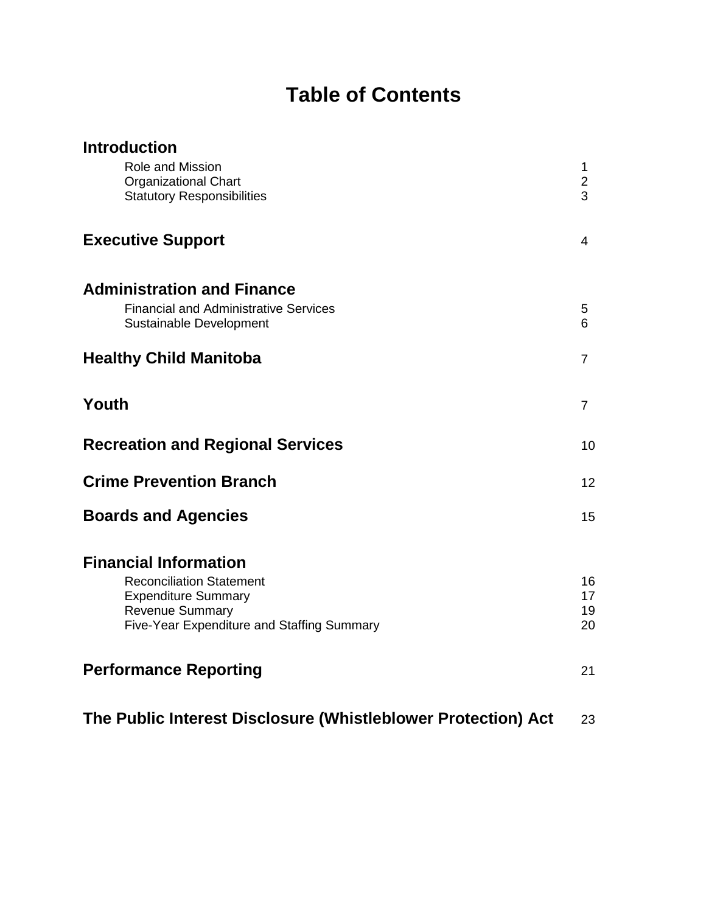# **Table of Contents**

| <b>Introduction</b>                                                     |                      |
|-------------------------------------------------------------------------|----------------------|
| Role and Mission<br><b>Organizational Chart</b>                         | 1.<br>$\overline{2}$ |
| <b>Statutory Responsibilities</b>                                       | 3                    |
| <b>Executive Support</b>                                                | 4                    |
| <b>Administration and Finance</b>                                       |                      |
| <b>Financial and Administrative Services</b><br>Sustainable Development | 5<br>6               |
| <b>Healthy Child Manitoba</b>                                           | $\overline{7}$       |
| Youth                                                                   | $\overline{7}$       |
| <b>Recreation and Regional Services</b>                                 | 10                   |
| <b>Crime Prevention Branch</b>                                          | 12                   |
| <b>Boards and Agencies</b>                                              | 15                   |
| <b>Financial Information</b>                                            |                      |
| <b>Reconciliation Statement</b><br><b>Expenditure Summary</b>           | 16<br>17             |
| <b>Revenue Summary</b>                                                  | 19                   |
| Five-Year Expenditure and Staffing Summary                              | 20                   |
| <b>Performance Reporting</b>                                            | 21                   |
|                                                                         |                      |

**The Public Interest Disclosure (Whistleblower Protection) Act** 23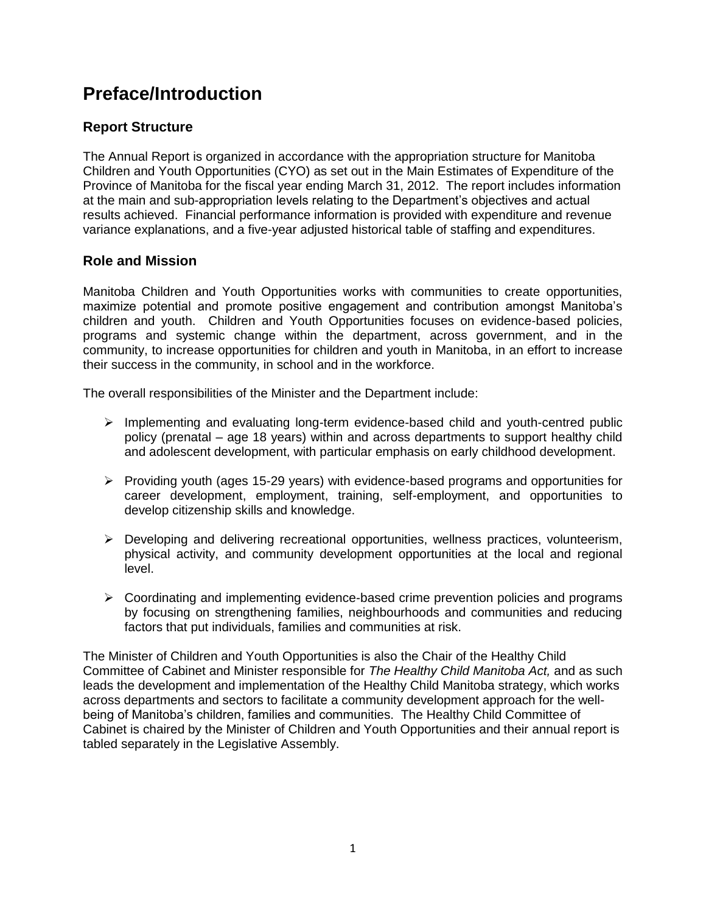## **Preface/Introduction**

#### **Report Structure**

The Annual Report is organized in accordance with the appropriation structure for Manitoba Children and Youth Opportunities (CYO) as set out in the Main Estimates of Expenditure of the Province of Manitoba for the fiscal year ending March 31, 2012. The report includes information at the main and sub-appropriation levels relating to the Department's objectives and actual results achieved. Financial performance information is provided with expenditure and revenue variance explanations, and a five-year adjusted historical table of staffing and expenditures.

#### **Role and Mission**

Manitoba Children and Youth Opportunities works with communities to create opportunities, maximize potential and promote positive engagement and contribution amongst Manitoba's children and youth. Children and Youth Opportunities focuses on evidence-based policies, programs and systemic change within the department, across government, and in the community, to increase opportunities for children and youth in Manitoba, in an effort to increase their success in the community, in school and in the workforce.

The overall responsibilities of the Minister and the Department include:

- $\triangleright$  Implementing and evaluating long-term evidence-based child and youth-centred public policy (prenatal – age 18 years) within and across departments to support healthy child and adolescent development, with particular emphasis on early childhood development.
- $\triangleright$  Providing youth (ages 15-29 years) with evidence-based programs and opportunities for career development, employment, training, self-employment, and opportunities to develop citizenship skills and knowledge.
- $\triangleright$  Developing and delivering recreational opportunities, wellness practices, volunteerism, physical activity, and community development opportunities at the local and regional level.
- Coordinating and implementing evidence-based crime prevention policies and programs by focusing on strengthening families, neighbourhoods and communities and reducing factors that put individuals, families and communities at risk.

The Minister of Children and Youth Opportunities is also the Chair of the Healthy Child Committee of Cabinet and Minister responsible for *The Healthy Child Manitoba Act,* and as such leads the development and implementation of the Healthy Child Manitoba strategy, which works across departments and sectors to facilitate a community development approach for the wellbeing of Manitoba's children, families and communities. The Healthy Child Committee of Cabinet is chaired by the Minister of Children and Youth Opportunities and their annual report is tabled separately in the Legislative Assembly.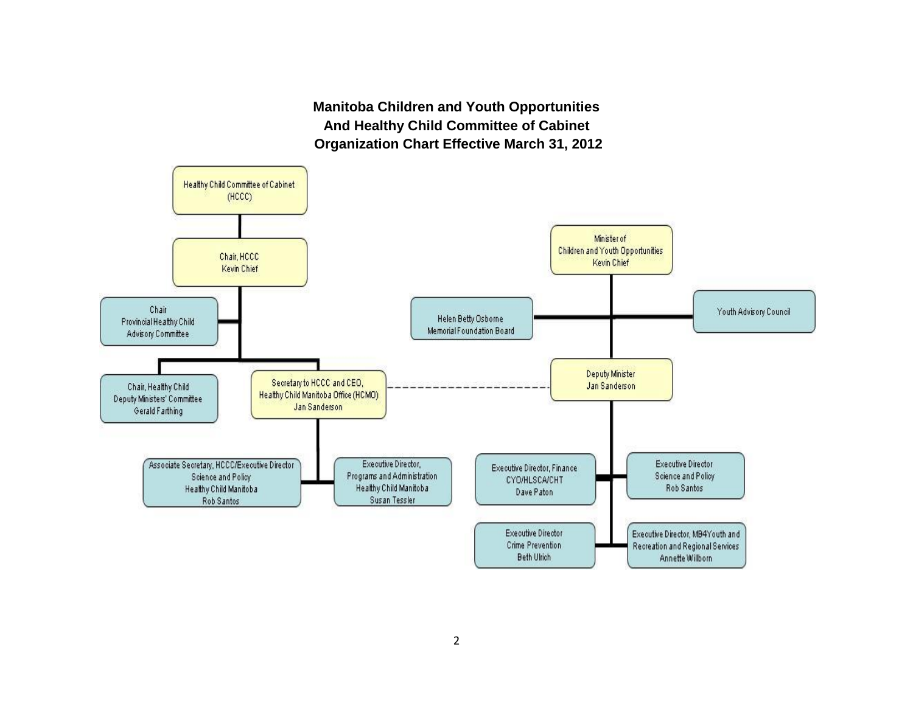**Manitoba Children and Youth Opportunities And Healthy Child Committee of Cabinet Organization Chart Effective March 31, 2012**

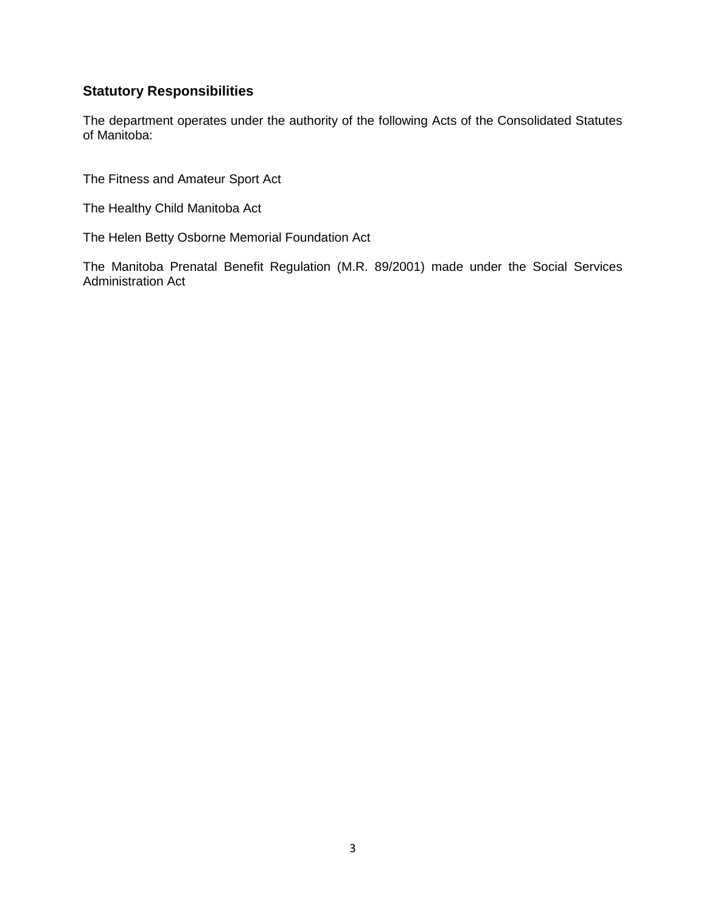#### **Statutory Responsibilities**

The department operates under the authority of the following Acts of the Consolidated Statutes of Manitoba:

The Fitness and Amateur Sport Act

The Healthy Child Manitoba Act

The Helen Betty Osborne Memorial Foundation Act

The Manitoba Prenatal Benefit Regulation (M.R. 89/2001) made under the Social Services Administration Act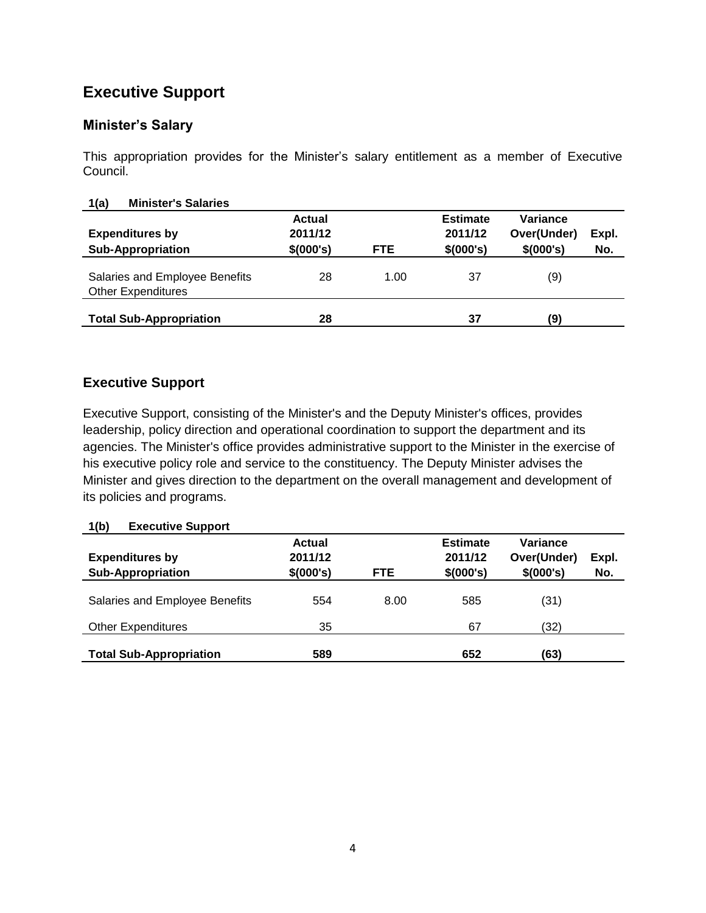## **Executive Support**

#### **Minister's Salary**

This appropriation provides for the Minister's salary entitlement as a member of Executive Council.

| <b>Minister's Salaries</b><br>1(a)                          |               |            |                 |             |       |
|-------------------------------------------------------------|---------------|------------|-----------------|-------------|-------|
|                                                             | <b>Actual</b> |            | <b>Estimate</b> | Variance    |       |
| <b>Expenditures by</b>                                      | 2011/12       |            | 2011/12         | Over(Under) | Expl. |
| <b>Sub-Appropriation</b>                                    | \$(000's)     | <b>FTE</b> | \$(000's)       | \$(000's)   | No.   |
| Salaries and Employee Benefits<br><b>Other Expenditures</b> | 28            | 1.00       | 37              | (9)         |       |
| <b>Total Sub-Appropriation</b>                              | 28            |            | 37              | (9)         |       |

#### **Executive Support**

Executive Support, consisting of the Minister's and the Deputy Minister's offices, provides leadership, policy direction and operational coordination to support the department and its agencies. The Minister's office provides administrative support to the Minister in the exercise of his executive policy role and service to the constituency. The Deputy Minister advises the Minister and gives direction to the department on the overall management and development of its policies and programs.

#### **1(b) Executive Support**

| <b>Expenditures by</b><br><b>Sub-Appropriation</b> | <b>Actual</b><br>2011/12<br>\$(000's) | <b>FTE</b> | <b>Estimate</b><br>2011/12<br>\$(000's) | Variance<br>Over(Under)<br>\$(000's) | Expl.<br>No. |  |
|----------------------------------------------------|---------------------------------------|------------|-----------------------------------------|--------------------------------------|--------------|--|
| Salaries and Employee Benefits                     | 554                                   | 8.00       | 585                                     | (31)                                 |              |  |
| <b>Other Expenditures</b>                          | 35                                    |            | 67                                      | (32)                                 |              |  |
| <b>Total Sub-Appropriation</b>                     | 589                                   |            | 652                                     | (63)                                 |              |  |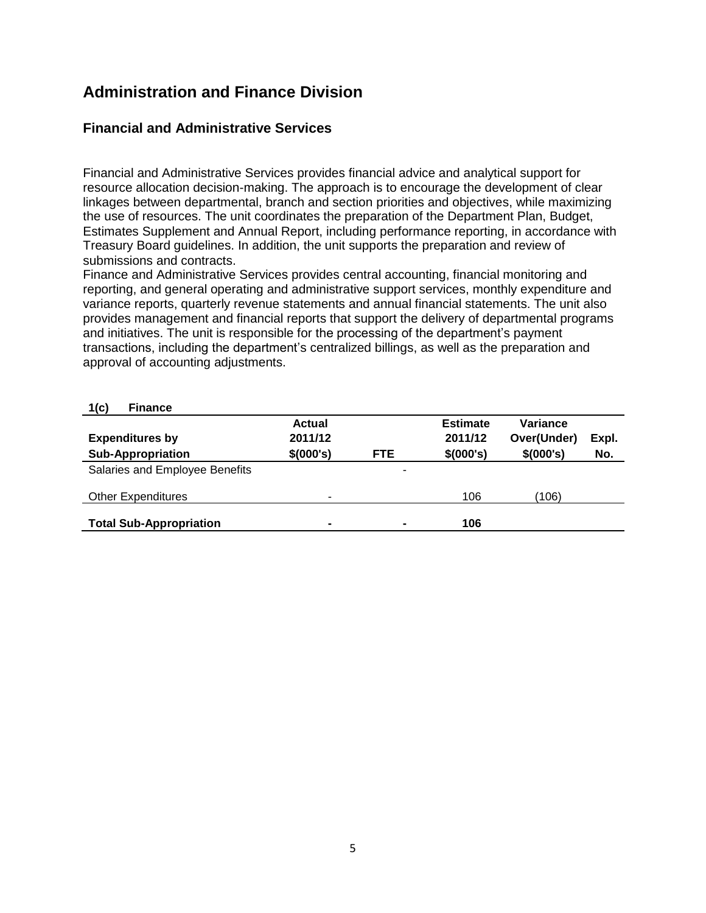## **Administration and Finance Division**

#### **Financial and Administrative Services**

Financial and Administrative Services provides financial advice and analytical support for resource allocation decision-making. The approach is to encourage the development of clear linkages between departmental, branch and section priorities and objectives, while maximizing the use of resources. The unit coordinates the preparation of the Department Plan, Budget, Estimates Supplement and Annual Report, including performance reporting, in accordance with Treasury Board guidelines. In addition, the unit supports the preparation and review of submissions and contracts.

Finance and Administrative Services provides central accounting, financial monitoring and reporting, and general operating and administrative support services, monthly expenditure and variance reports, quarterly revenue statements and annual financial statements. The unit also provides management and financial reports that support the delivery of departmental programs and initiatives. The unit is responsible for the processing of the department's payment transactions, including the department's centralized billings, as well as the preparation and approval of accounting adjustments.

| 1(c)<br><b>Finance</b>         |                |                |                 |             |       |
|--------------------------------|----------------|----------------|-----------------|-------------|-------|
|                                | <b>Actual</b>  |                | <b>Estimate</b> | Variance    |       |
| <b>Expenditures by</b>         | 2011/12        |                | 2011/12         | Over(Under) | Expl. |
| <b>Sub-Appropriation</b>       | \$(000's)      | <b>FTE</b>     | \$(000's)       | \$(000's)   | No.   |
| Salaries and Employee Benefits |                | ٠              |                 |             |       |
| <b>Other Expenditures</b>      | -              |                | 106             | (106)       |       |
| <b>Total Sub-Appropriation</b> | $\blacksquare$ | $\blacksquare$ | 106             |             |       |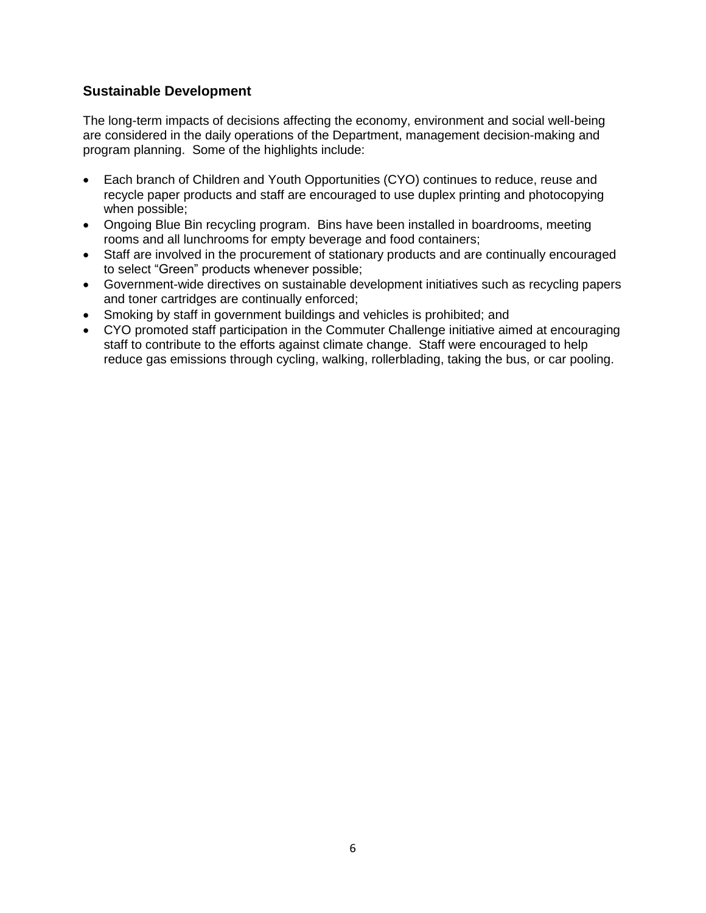#### **Sustainable Development**

The long-term impacts of decisions affecting the economy, environment and social well-being are considered in the daily operations of the Department, management decision-making and program planning. Some of the highlights include:

- Each branch of Children and Youth Opportunities (CYO) continues to reduce, reuse and recycle paper products and staff are encouraged to use duplex printing and photocopying when possible;
- Ongoing Blue Bin recycling program. Bins have been installed in boardrooms, meeting rooms and all lunchrooms for empty beverage and food containers;
- Staff are involved in the procurement of stationary products and are continually encouraged to select "Green" products whenever possible;
- Government-wide directives on sustainable development initiatives such as recycling papers and toner cartridges are continually enforced;
- Smoking by staff in government buildings and vehicles is prohibited; and
- CYO promoted staff participation in the Commuter Challenge initiative aimed at encouraging staff to contribute to the efforts against climate change. Staff were encouraged to help reduce gas emissions through cycling, walking, rollerblading, taking the bus, or car pooling.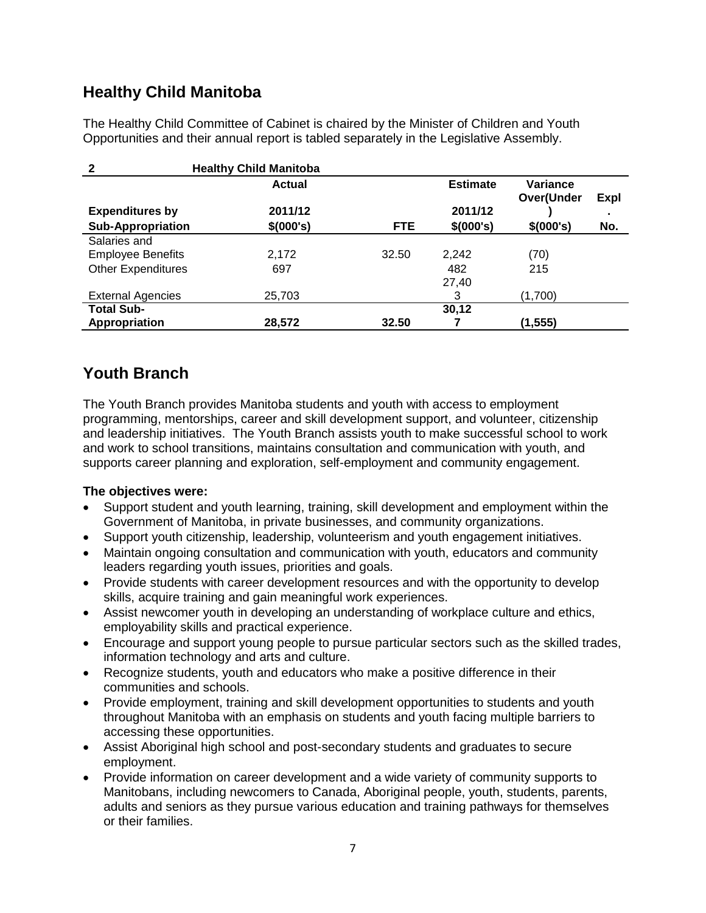## **Healthy Child Manitoba**

The Healthy Child Committee of Cabinet is chaired by the Minister of Children and Youth Opportunities and their annual report is tabled separately in the Legislative Assembly.

| 2                         | <b>Healthy Child Manitoba</b> |       |                 |                        |      |
|---------------------------|-------------------------------|-------|-----------------|------------------------|------|
|                           | <b>Actual</b>                 |       | <b>Estimate</b> | Variance<br>Over(Under | Expl |
| <b>Expenditures by</b>    | 2011/12                       |       | 2011/12         |                        |      |
| <b>Sub-Appropriation</b>  | \$(000's)                     | FTE.  | \$(000's)       | \$(000's)              | No.  |
| Salaries and              |                               |       |                 |                        |      |
| <b>Employee Benefits</b>  | 2,172                         | 32.50 | 2,242           | (70)                   |      |
| <b>Other Expenditures</b> | 697                           |       | 482             | 215                    |      |
|                           |                               |       | 27,40           |                        |      |
| <b>External Agencies</b>  | 25,703                        |       | 3               | (1,700)                |      |
| <b>Total Sub-</b>         |                               |       | 30,12           |                        |      |
| Appropriation             | 28,572                        | 32.50 |                 | (1, 555)               |      |

## **Youth Branch**

The Youth Branch provides Manitoba students and youth with access to employment programming, mentorships, career and skill development support, and volunteer, citizenship and leadership initiatives. The Youth Branch assists youth to make successful school to work and work to school transitions, maintains consultation and communication with youth, and supports career planning and exploration, self-employment and community engagement.

#### **The objectives were:**

- Support student and youth learning, training, skill development and employment within the Government of Manitoba, in private businesses, and community organizations.
- Support youth citizenship, leadership, volunteerism and youth engagement initiatives.
- Maintain ongoing consultation and communication with youth, educators and community leaders regarding youth issues, priorities and goals.
- Provide students with career development resources and with the opportunity to develop skills, acquire training and gain meaningful work experiences.
- Assist newcomer youth in developing an understanding of workplace culture and ethics, employability skills and practical experience.
- Encourage and support young people to pursue particular sectors such as the skilled trades, information technology and arts and culture.
- Recognize students, youth and educators who make a positive difference in their communities and schools.
- Provide employment, training and skill development opportunities to students and youth throughout Manitoba with an emphasis on students and youth facing multiple barriers to accessing these opportunities.
- Assist Aboriginal high school and post-secondary students and graduates to secure employment.
- Provide information on career development and a wide variety of community supports to Manitobans, including newcomers to Canada, Aboriginal people, youth, students, parents, adults and seniors as they pursue various education and training pathways for themselves or their families.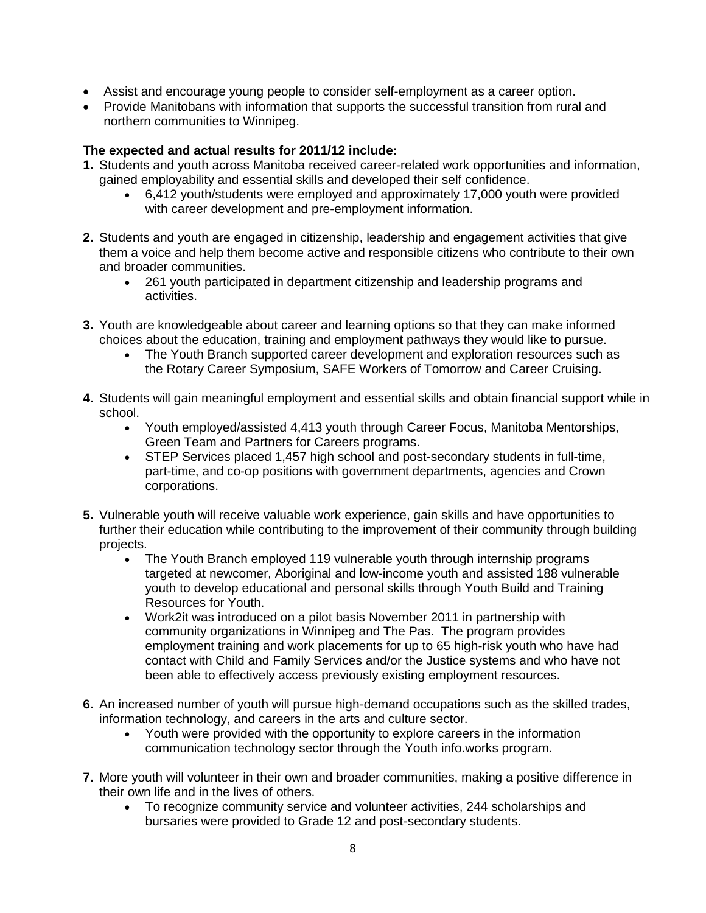- Assist and encourage young people to consider self-employment as a career option.
- Provide Manitobans with information that supports the successful transition from rural and northern communities to Winnipeg.

#### **The expected and actual results for 2011/12 include:**

- **1.** Students and youth across Manitoba received career-related work opportunities and information, gained employability and essential skills and developed their self confidence.
	- 6,412 youth/students were employed and approximately 17,000 youth were provided with career development and pre-employment information.
- **2.** Students and youth are engaged in citizenship, leadership and engagement activities that give them a voice and help them become active and responsible citizens who contribute to their own and broader communities.
	- 261 youth participated in department citizenship and leadership programs and activities.
- **3.** Youth are knowledgeable about career and learning options so that they can make informed choices about the education, training and employment pathways they would like to pursue.
	- The Youth Branch supported career development and exploration resources such as the Rotary Career Symposium, SAFE Workers of Tomorrow and Career Cruising.
- **4.** Students will gain meaningful employment and essential skills and obtain financial support while in school.
	- Youth employed/assisted 4,413 youth through Career Focus, Manitoba Mentorships, Green Team and Partners for Careers programs.
	- STEP Services placed 1,457 high school and post-secondary students in full-time, part-time, and co-op positions with government departments, agencies and Crown corporations.
- **5.** Vulnerable youth will receive valuable work experience, gain skills and have opportunities to further their education while contributing to the improvement of their community through building projects.
	- The Youth Branch employed 119 vulnerable youth through internship programs targeted at newcomer, Aboriginal and low-income youth and assisted 188 vulnerable youth to develop educational and personal skills through Youth Build and Training Resources for Youth.
	- Work2it was introduced on a pilot basis November 2011 in partnership with community organizations in Winnipeg and The Pas. The program provides employment training and work placements for up to 65 high-risk youth who have had contact with Child and Family Services and/or the Justice systems and who have not been able to effectively access previously existing employment resources.
- **6.** An increased number of youth will pursue high-demand occupations such as the skilled trades, information technology, and careers in the arts and culture sector.
	- Youth were provided with the opportunity to explore careers in the information communication technology sector through the Youth info.works program.
- **7.** More youth will volunteer in their own and broader communities, making a positive difference in their own life and in the lives of others.
	- To recognize community service and volunteer activities, 244 scholarships and bursaries were provided to Grade 12 and post-secondary students.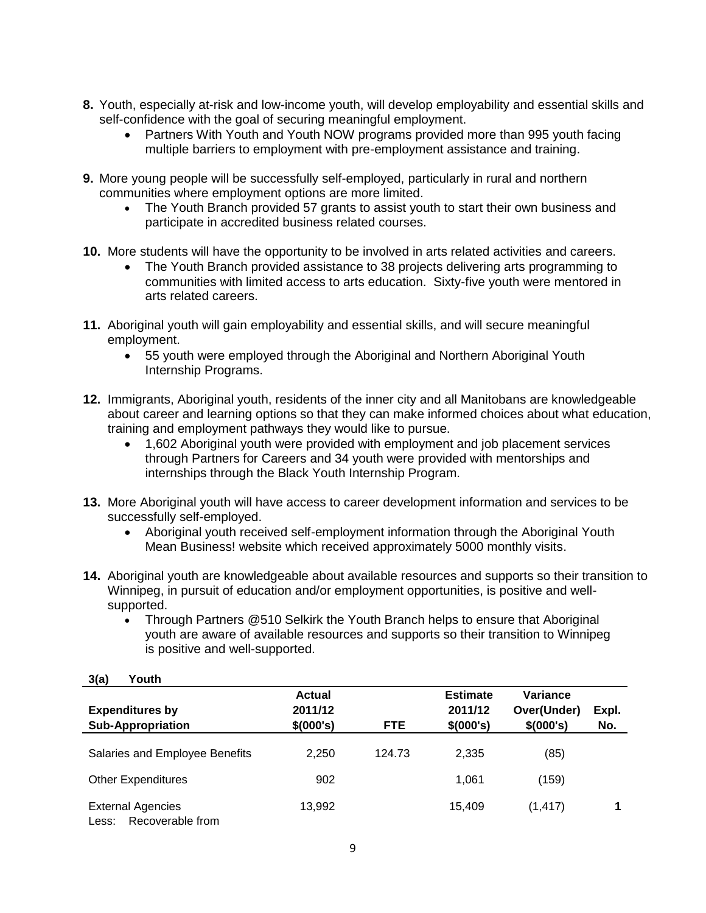- **8.** Youth, especially at-risk and low-income youth, will develop employability and essential skills and self-confidence with the goal of securing meaningful employment.
	- Partners With Youth and Youth NOW programs provided more than 995 youth facing multiple barriers to employment with pre-employment assistance and training.
- **9.** More young people will be successfully self-employed, particularly in rural and northern communities where employment options are more limited.
	- The Youth Branch provided 57 grants to assist youth to start their own business and participate in accredited business related courses.
- **10.** More students will have the opportunity to be involved in arts related activities and careers.
	- The Youth Branch provided assistance to 38 projects delivering arts programming to communities with limited access to arts education. Sixty-five youth were mentored in arts related careers.
- **11.** Aboriginal youth will gain employability and essential skills, and will secure meaningful employment.
	- 55 youth were employed through the Aboriginal and Northern Aboriginal Youth Internship Programs.
- **12.** Immigrants, Aboriginal youth, residents of the inner city and all Manitobans are knowledgeable about career and learning options so that they can make informed choices about what education, training and employment pathways they would like to pursue.
	- 1,602 Aboriginal youth were provided with employment and job placement services through Partners for Careers and 34 youth were provided with mentorships and internships through the Black Youth Internship Program.
- **13.** More Aboriginal youth will have access to career development information and services to be successfully self-employed.
	- Aboriginal youth received self-employment information through the Aboriginal Youth Mean Business! website which received approximately 5000 monthly visits.
- **14.** Aboriginal youth are knowledgeable about available resources and supports so their transition to Winnipeg, in pursuit of education and/or employment opportunities, is positive and wellsupported.
	- Through Partners @510 Selkirk the Youth Branch helps to ensure that Aboriginal youth are aware of available resources and supports so their transition to Winnipeg is positive and well-supported.

| v(u)<br>.                                             |                                       |            |                                         |                                      |              |
|-------------------------------------------------------|---------------------------------------|------------|-----------------------------------------|--------------------------------------|--------------|
| <b>Expenditures by</b><br><b>Sub-Appropriation</b>    | <b>Actual</b><br>2011/12<br>\$(000's) | <b>FTE</b> | <b>Estimate</b><br>2011/12<br>\$(000's) | Variance<br>Over(Under)<br>\$(000's) | Expl.<br>No. |
| Salaries and Employee Benefits                        | 2,250                                 | 124.73     | 2,335                                   | (85)                                 |              |
| <b>Other Expenditures</b>                             | 902                                   |            | 1,061                                   | (159)                                |              |
| <b>External Agencies</b><br>Recoverable from<br>Less: | 13,992                                |            | 15,409                                  | (1, 417)                             |              |

#### **3(a) Youth**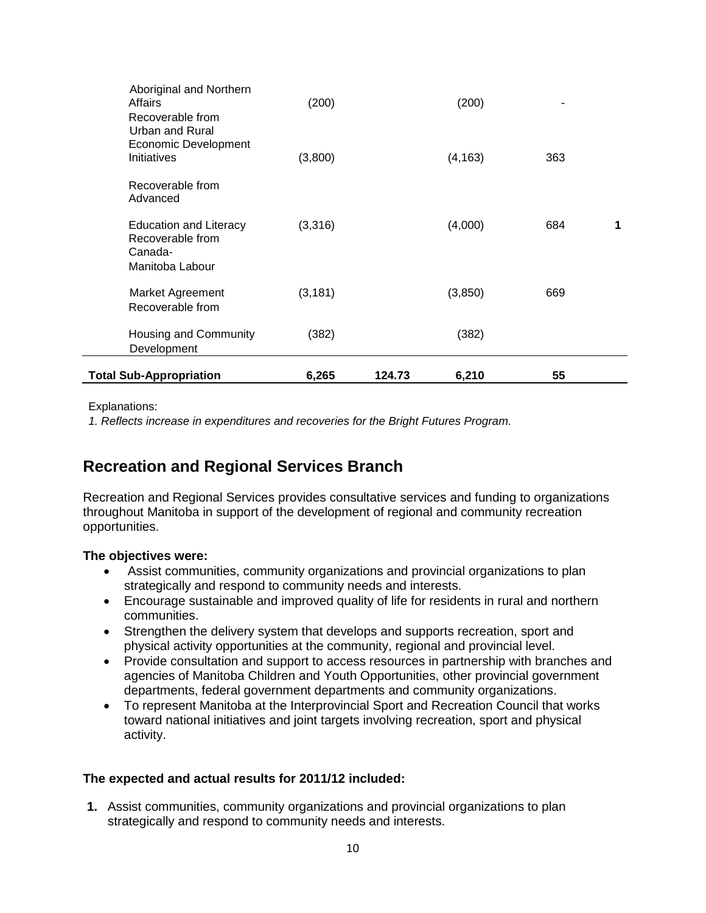| <b>Total Sub-Appropriation</b>                                                  | 6,265    | 124.73 | 6,210    | 55  |   |
|---------------------------------------------------------------------------------|----------|--------|----------|-----|---|
| Housing and Community<br>Development                                            | (382)    |        | (382)    |     |   |
| <b>Market Agreement</b><br>Recoverable from                                     | (3, 181) |        | (3, 850) | 669 |   |
| <b>Education and Literacy</b><br>Recoverable from<br>Canada-<br>Manitoba Labour | (3,316)  |        | (4,000)  | 684 | 1 |
| Recoverable from<br>Advanced                                                    |          |        |          |     |   |
| Recoverable from<br>Urban and Rural<br>Economic Development<br>Initiatives      | (3,800)  |        | (4, 163) | 363 |   |
| Aboriginal and Northern<br>Affairs                                              | (200)    |        | (200)    |     |   |

Explanations:

*1. Reflects increase in expenditures and recoveries for the Bright Futures Program.*

## **Recreation and Regional Services Branch**

Recreation and Regional Services provides consultative services and funding to organizations throughout Manitoba in support of the development of regional and community recreation opportunities.

#### **The objectives were:**

- Assist communities, community organizations and provincial organizations to plan strategically and respond to community needs and interests.
- Encourage sustainable and improved quality of life for residents in rural and northern communities.
- Strengthen the delivery system that develops and supports recreation, sport and physical activity opportunities at the community, regional and provincial level.
- Provide consultation and support to access resources in partnership with branches and agencies of Manitoba Children and Youth Opportunities, other provincial government departments, federal government departments and community organizations.
- To represent Manitoba at the Interprovincial Sport and Recreation Council that works toward national initiatives and joint targets involving recreation, sport and physical activity.

#### **The expected and actual results for 2011/12 included:**

**1.** Assist communities, community organizations and provincial organizations to plan strategically and respond to community needs and interests.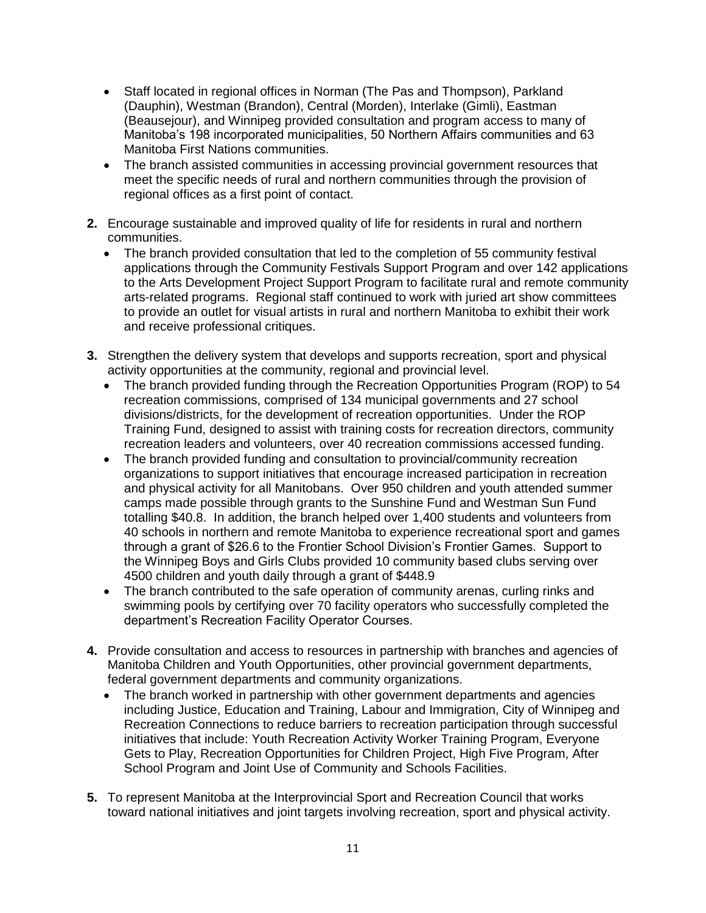- Staff located in regional offices in Norman (The Pas and Thompson), Parkland (Dauphin), Westman (Brandon), Central (Morden), Interlake (Gimli), Eastman (Beausejour), and Winnipeg provided consultation and program access to many of Manitoba's 198 incorporated municipalities, 50 Northern Affairs communities and 63 Manitoba First Nations communities.
- The branch assisted communities in accessing provincial government resources that meet the specific needs of rural and northern communities through the provision of regional offices as a first point of contact.
- **2.** Encourage sustainable and improved quality of life for residents in rural and northern communities.
	- The branch provided consultation that led to the completion of 55 community festival applications through the Community Festivals Support Program and over 142 applications to the Arts Development Project Support Program to facilitate rural and remote community arts-related programs. Regional staff continued to work with juried art show committees to provide an outlet for visual artists in rural and northern Manitoba to exhibit their work and receive professional critiques.
- **3.** Strengthen the delivery system that develops and supports recreation, sport and physical activity opportunities at the community, regional and provincial level.
	- The branch provided funding through the Recreation Opportunities Program (ROP) to 54 recreation commissions, comprised of 134 municipal governments and 27 school divisions/districts, for the development of recreation opportunities. Under the ROP Training Fund, designed to assist with training costs for recreation directors, community recreation leaders and volunteers, over 40 recreation commissions accessed funding.
	- The branch provided funding and consultation to provincial/community recreation organizations to support initiatives that encourage increased participation in recreation and physical activity for all Manitobans. Over 950 children and youth attended summer camps made possible through grants to the Sunshine Fund and Westman Sun Fund totalling \$40.8. In addition, the branch helped over 1,400 students and volunteers from 40 schools in northern and remote Manitoba to experience recreational sport and games through a grant of \$26.6 to the Frontier School Division's Frontier Games. Support to the Winnipeg Boys and Girls Clubs provided 10 community based clubs serving over 4500 children and youth daily through a grant of \$448.9
	- The branch contributed to the safe operation of community arenas, curling rinks and swimming pools by certifying over 70 facility operators who successfully completed the department's Recreation Facility Operator Courses.
- **4.** Provide consultation and access to resources in partnership with branches and agencies of Manitoba Children and Youth Opportunities, other provincial government departments, federal government departments and community organizations.
	- The branch worked in partnership with other government departments and agencies including Justice, Education and Training, Labour and Immigration, City of Winnipeg and Recreation Connections to reduce barriers to recreation participation through successful initiatives that include: Youth Recreation Activity Worker Training Program, Everyone Gets to Play, Recreation Opportunities for Children Project, High Five Program, After School Program and Joint Use of Community and Schools Facilities.
- **5.** To represent Manitoba at the Interprovincial Sport and Recreation Council that works toward national initiatives and joint targets involving recreation, sport and physical activity.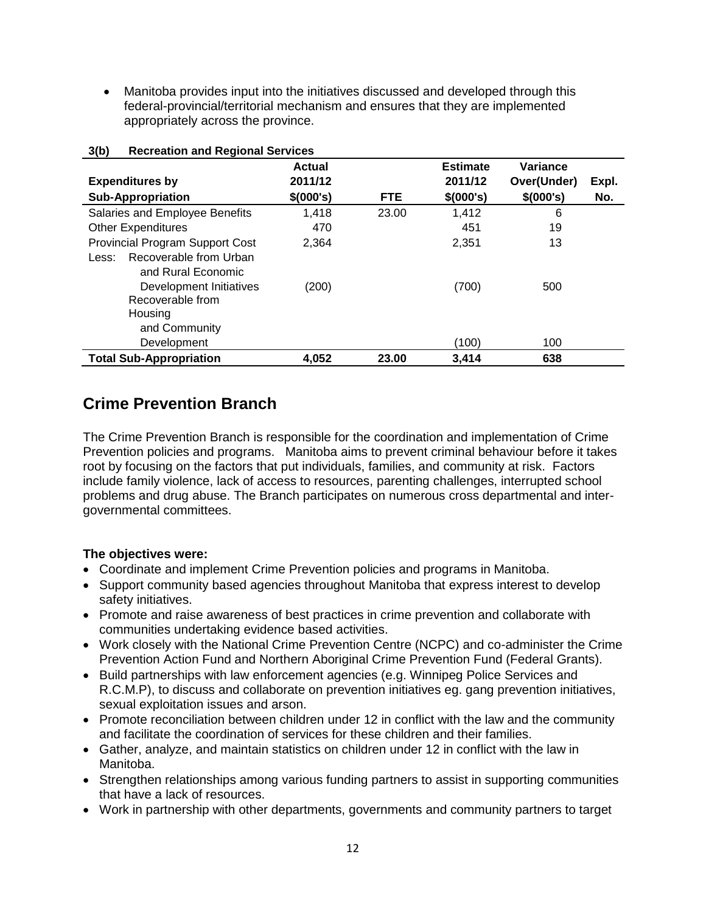Manitoba provides input into the initiatives discussed and developed through this federal-provincial/territorial mechanism and ensures that they are implemented appropriately across the province.

|                                                       | <b>Actual</b>         |       | <b>Estimate</b><br>2011/12 | Variance<br>Over(Under) |              |
|-------------------------------------------------------|-----------------------|-------|----------------------------|-------------------------|--------------|
| <b>Expenditures by</b><br><b>Sub-Appropriation</b>    | 2011/12<br><b>FTE</b> |       | \$(000's)                  | \$(000's)               | Expl.<br>No. |
|                                                       | \$ (000's)            |       |                            |                         |              |
| Salaries and Employee Benefits                        | 1,418                 | 23.00 | 1,412                      | 6                       |              |
| <b>Other Expenditures</b>                             | 470                   |       | 451                        | 19                      |              |
| <b>Provincial Program Support Cost</b>                | 2,364                 |       | 2,351                      | 13                      |              |
| Recoverable from Urban<br>Less:<br>and Rural Economic |                       |       |                            |                         |              |
| Development Initiatives<br>Recoverable from           | (200)                 |       | (700)                      | 500                     |              |
| Housing                                               |                       |       |                            |                         |              |
| and Community                                         |                       |       |                            |                         |              |
| Development                                           |                       |       | (100)                      | 100                     |              |
| <b>Total Sub-Appropriation</b>                        | 4,052                 | 23.00 | 3,414                      | 638                     |              |

#### **3(b) Recreation and Regional Services**

### **Crime Prevention Branch**

The Crime Prevention Branch is responsible for the coordination and implementation of Crime Prevention policies and programs. Manitoba aims to prevent criminal behaviour before it takes root by focusing on the factors that put individuals, families, and community at risk. Factors include family violence, lack of access to resources, parenting challenges, interrupted school problems and drug abuse. The Branch participates on numerous cross departmental and intergovernmental committees.

#### **The objectives were:**

- Coordinate and implement Crime Prevention policies and programs in Manitoba.
- Support community based agencies throughout Manitoba that express interest to develop safety initiatives.
- Promote and raise awareness of best practices in crime prevention and collaborate with communities undertaking evidence based activities.
- Work closely with the National Crime Prevention Centre (NCPC) and co-administer the Crime Prevention Action Fund and Northern Aboriginal Crime Prevention Fund (Federal Grants).
- Build partnerships with law enforcement agencies (e.g. Winnipeg Police Services and R.C.M.P), to discuss and collaborate on prevention initiatives eg. gang prevention initiatives, sexual exploitation issues and arson.
- Promote reconciliation between children under 12 in conflict with the law and the community and facilitate the coordination of services for these children and their families.
- Gather, analyze, and maintain statistics on children under 12 in conflict with the law in Manitoba.
- Strengthen relationships among various funding partners to assist in supporting communities that have a lack of resources.
- Work in partnership with other departments, governments and community partners to target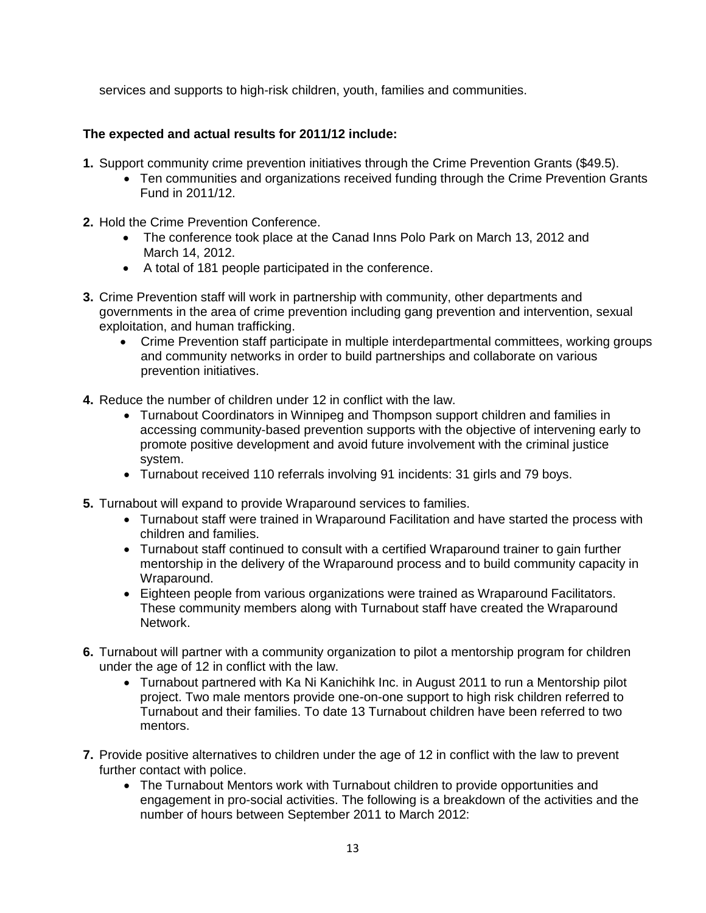services and supports to high-risk children, youth, families and communities.

#### **The expected and actual results for 2011/12 include:**

- **1.** Support community crime prevention initiatives through the Crime Prevention Grants (\$49.5).
	- Ten communities and organizations received funding through the Crime Prevention Grants Fund in 2011/12.
- **2.** Hold the Crime Prevention Conference.
	- The conference took place at the Canad Inns Polo Park on March 13, 2012 and March 14, 2012.
	- A total of 181 people participated in the conference.
- **3.** Crime Prevention staff will work in partnership with community, other departments and governments in the area of crime prevention including gang prevention and intervention, sexual exploitation, and human trafficking.
	- Crime Prevention staff participate in multiple interdepartmental committees, working groups and community networks in order to build partnerships and collaborate on various prevention initiatives.
- **4.** Reduce the number of children under 12 in conflict with the law.
	- Turnabout Coordinators in Winnipeg and Thompson support children and families in accessing community-based prevention supports with the objective of intervening early to promote positive development and avoid future involvement with the criminal justice system.
	- Turnabout received 110 referrals involving 91 incidents: 31 girls and 79 boys.
- **5.** Turnabout will expand to provide Wraparound services to families.
	- Turnabout staff were trained in Wraparound Facilitation and have started the process with children and families.
	- Turnabout staff continued to consult with a certified Wraparound trainer to gain further mentorship in the delivery of the Wraparound process and to build community capacity in Wraparound.
	- Eighteen people from various organizations were trained as Wraparound Facilitators. These community members along with Turnabout staff have created the Wraparound Network.
- **6.** Turnabout will partner with a community organization to pilot a mentorship program for children under the age of 12 in conflict with the law.
	- Turnabout partnered with Ka Ni Kanichihk Inc. in August 2011 to run a Mentorship pilot project. Two male mentors provide one-on-one support to high risk children referred to Turnabout and their families. To date 13 Turnabout children have been referred to two mentors.
- **7.** Provide positive alternatives to children under the age of 12 in conflict with the law to prevent further contact with police.
	- The Turnabout Mentors work with Turnabout children to provide opportunities and engagement in pro-social activities. The following is a breakdown of the activities and the number of hours between September 2011 to March 2012: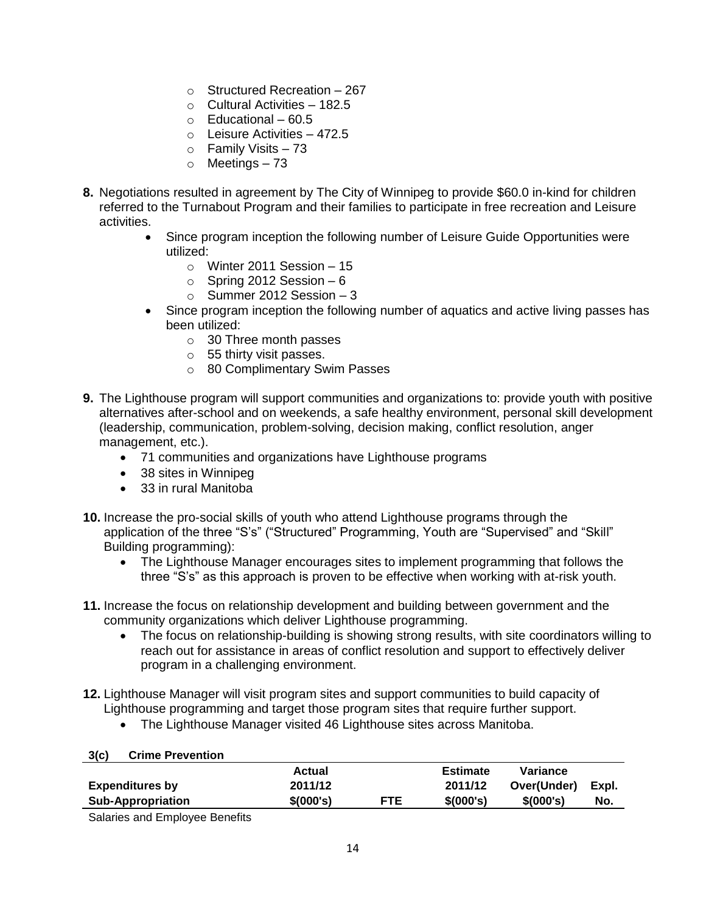- $\circ$  Structured Recreation 267
- $\circ$  Cultural Activities 182.5
- $\circ$  Fducational 60.5
- o Leisure Activities 472.5
- $\circ$  Family Visits 73
- o Meetings 73
- **8.** Negotiations resulted in agreement by The City of Winnipeg to provide \$60.0 in-kind for children referred to the Turnabout Program and their families to participate in free recreation and Leisure activities.
	- Since program inception the following number of Leisure Guide Opportunities were utilized:
		- o Winter 2011 Session 15
		- $\circ$  Spring 2012 Session 6
		- $\circ$  Summer 2012 Session 3
	- Since program inception the following number of aquatics and active living passes has been utilized:
		- o 30 Three month passes
		- o 55 thirty visit passes.
		- o 80 Complimentary Swim Passes
- **9.** The Lighthouse program will support communities and organizations to: provide youth with positive alternatives after-school and on weekends, a safe healthy environment, personal skill development (leadership, communication, problem-solving, decision making, conflict resolution, anger management, etc.).
	- 71 communities and organizations have Lighthouse programs
	- 38 sites in Winnipeg
	- 33 in rural Manitoba
- **10.** Increase the pro-social skills of youth who attend Lighthouse programs through the application of the three "S's" ("Structured" Programming, Youth are "Supervised" and "Skill" Building programming):
	- The Lighthouse Manager encourages sites to implement programming that follows the three "S's" as this approach is proven to be effective when working with at-risk youth.
- **11.** Increase the focus on relationship development and building between government and the community organizations which deliver Lighthouse programming.
	- The focus on relationship-building is showing strong results, with site coordinators willing to reach out for assistance in areas of conflict resolution and support to effectively deliver program in a challenging environment.
- **12.** Lighthouse Manager will visit program sites and support communities to build capacity of Lighthouse programming and target those program sites that require further support.
	- The Lighthouse Manager visited 46 Lighthouse sites across Manitoba.

| 3(c)<br><b>Crime Prevention</b> |           |            |                 |             |       |
|---------------------------------|-----------|------------|-----------------|-------------|-------|
|                                 | Actual    |            | <b>Estimate</b> | Variance    |       |
| <b>Expenditures by</b>          | 2011/12   |            | 2011/12         | Over(Under) | Expl. |
| <b>Sub-Appropriation</b>        | \$(000's) | <b>FTE</b> | \$(000's)       | \$(000's)   | No.   |

Salaries and Employee Benefits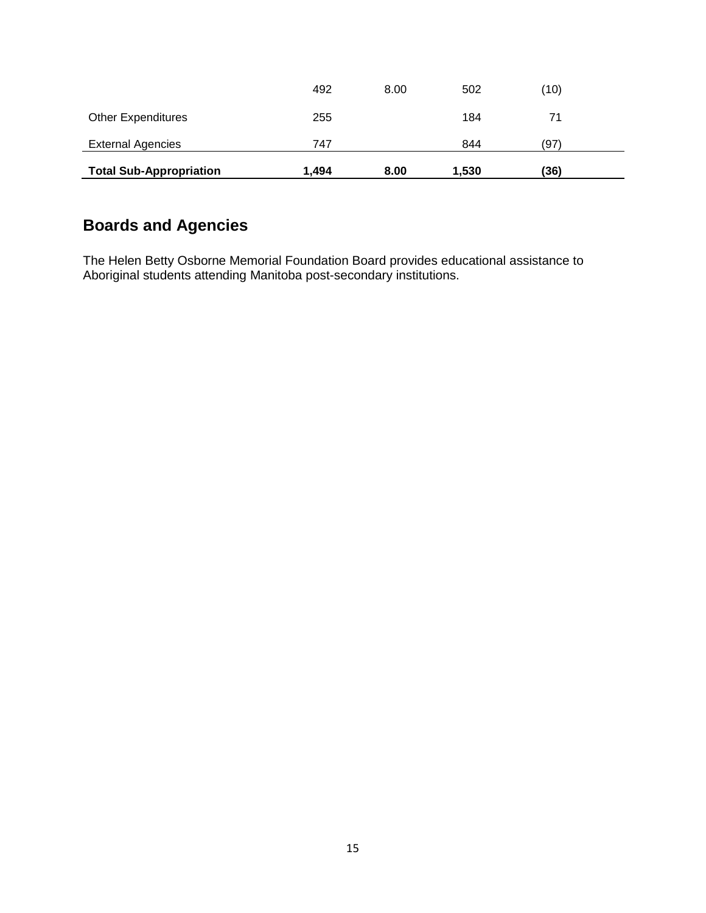| <b>Other Expenditures</b><br><b>External Agencies</b> | 255<br>747 |      | 184<br>844 | (97) |  |
|-------------------------------------------------------|------------|------|------------|------|--|
| <b>Total Sub-Appropriation</b>                        | 1.494      | 8.00 | 1,530      | (36) |  |

## **Boards and Agencies**

The Helen Betty Osborne Memorial Foundation Board provides educational assistance to Aboriginal students attending Manitoba post-secondary institutions.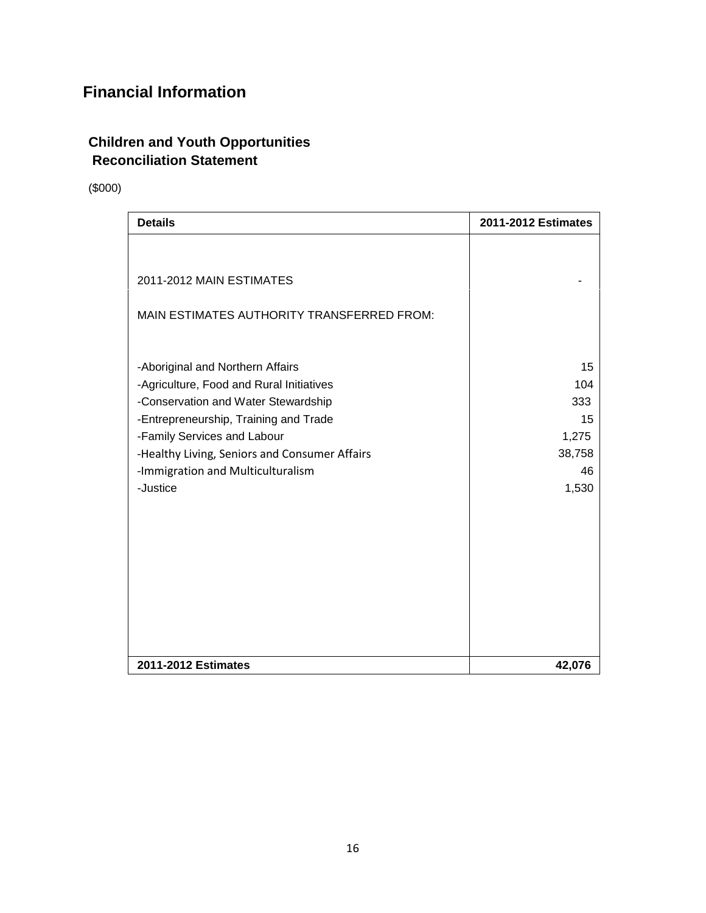## **Financial Information**

#### **Children and Youth Opportunities Reconciliation Statement**

(\$000)

| <b>Details</b>                                | 2011-2012 Estimates |
|-----------------------------------------------|---------------------|
|                                               |                     |
| 2011-2012 MAIN ESTIMATES                      |                     |
| MAIN ESTIMATES AUTHORITY TRANSFERRED FROM:    |                     |
| -Aboriginal and Northern Affairs              |                     |
| -Agriculture, Food and Rural Initiatives      | 104                 |
| -Conservation and Water Stewardship           | 333                 |
| -Entrepreneurship, Training and Trade         |                     |
| -Family Services and Labour                   | 1,275               |
| -Healthy Living, Seniors and Consumer Affairs | 38,758              |
| -Immigration and Multiculturalism<br>-Justice | 1,530               |
|                                               |                     |
|                                               |                     |
|                                               |                     |
|                                               |                     |
| 2011-2012 Estimates                           | 42,076              |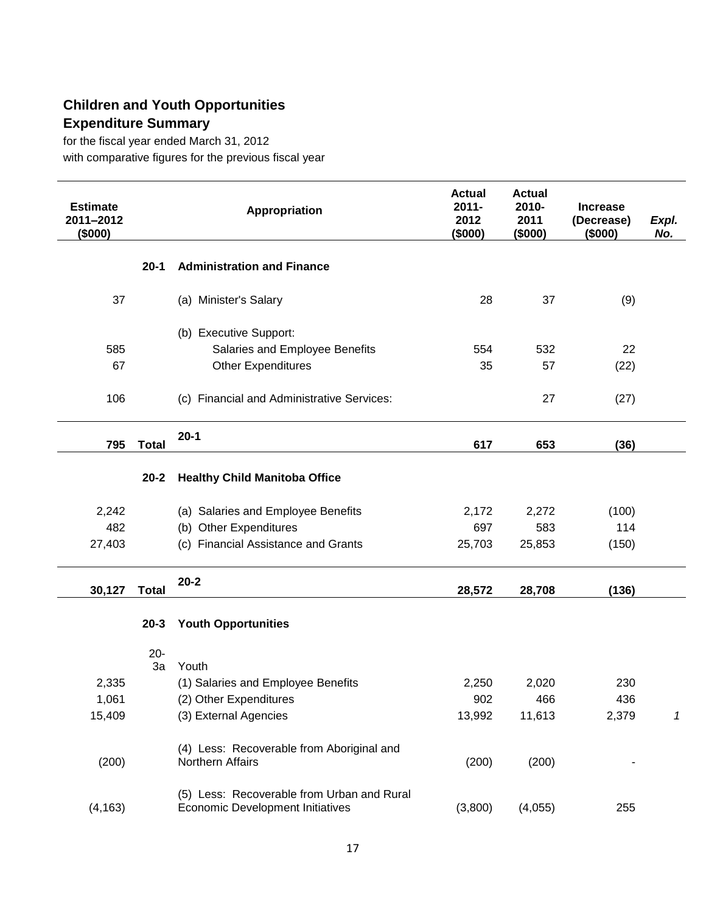## **Children and Youth Opportunities Expenditure Summary**

for the fiscal year ended March 31, 2012 with comparative figures for the previous fiscal year

| <b>Estimate</b><br>2011-2012<br>(\$000) |              | Appropriation                                                                         | <b>Actual</b><br>$2011 -$<br>2012<br>(\$000) | <b>Actual</b><br>2010-<br>2011<br>(\$000) | <b>Increase</b><br>(Decrease)<br>(\$000) | Expl.<br>No. |
|-----------------------------------------|--------------|---------------------------------------------------------------------------------------|----------------------------------------------|-------------------------------------------|------------------------------------------|--------------|
|                                         | $20 - 1$     | <b>Administration and Finance</b>                                                     |                                              |                                           |                                          |              |
| 37                                      |              | (a) Minister's Salary                                                                 | 28                                           | 37                                        | (9)                                      |              |
|                                         |              | (b) Executive Support:                                                                |                                              |                                           |                                          |              |
| 585                                     |              | Salaries and Employee Benefits                                                        | 554                                          | 532                                       | 22                                       |              |
| 67                                      |              | <b>Other Expenditures</b>                                                             | 35                                           | 57                                        | (22)                                     |              |
| 106                                     |              | (c) Financial and Administrative Services:                                            |                                              | 27                                        | (27)                                     |              |
| 795                                     | <b>Total</b> | $20-1$                                                                                | 617                                          | 653                                       | (36)                                     |              |
|                                         |              |                                                                                       |                                              |                                           |                                          |              |
|                                         | $20 - 2$     | <b>Healthy Child Manitoba Office</b>                                                  |                                              |                                           |                                          |              |
| 2,242                                   |              | (a) Salaries and Employee Benefits                                                    | 2,172                                        | 2,272                                     | (100)                                    |              |
| 482                                     |              | (b) Other Expenditures                                                                | 697                                          | 583                                       | 114                                      |              |
| 27,403                                  |              | (c) Financial Assistance and Grants                                                   | 25,703                                       | 25,853                                    | (150)                                    |              |
| 30,127                                  | <b>Total</b> | $20 - 2$                                                                              | 28,572                                       | 28,708                                    | (136)                                    |              |
|                                         |              |                                                                                       |                                              |                                           |                                          |              |
|                                         | $20 - 3$     | <b>Youth Opportunities</b>                                                            |                                              |                                           |                                          |              |
|                                         | $20 -$<br>3a | Youth                                                                                 |                                              |                                           |                                          |              |
| 2,335                                   |              | (1) Salaries and Employee Benefits                                                    | 2,250                                        | 2,020                                     | 230                                      |              |
| 1,061                                   |              | (2) Other Expenditures                                                                | 902                                          | 466                                       | 436                                      |              |
| 15,409                                  |              | (3) External Agencies                                                                 | 13,992                                       | 11,613                                    | 2,379                                    | 1            |
|                                         |              |                                                                                       |                                              |                                           |                                          |              |
| (200)                                   |              | (4) Less: Recoverable from Aboriginal and<br>Northern Affairs                         | (200)                                        | (200)                                     |                                          |              |
| (4, 163)                                |              | (5) Less: Recoverable from Urban and Rural<br><b>Economic Development Initiatives</b> | (3,800)                                      | (4,055)                                   | 255                                      |              |
|                                         |              |                                                                                       |                                              |                                           |                                          |              |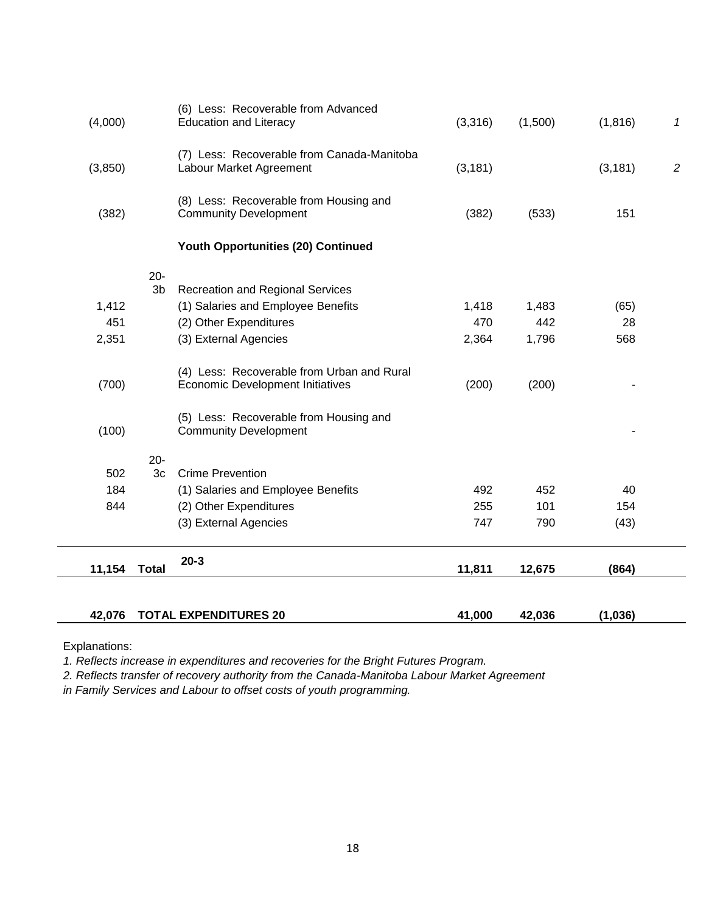| 42,076  |                          | <b>TOTAL EXPENDITURES 20</b>                                                          | 41,000   | 42,036  | (1,036)  |                |
|---------|--------------------------|---------------------------------------------------------------------------------------|----------|---------|----------|----------------|
|         |                          |                                                                                       |          |         |          |                |
| 11,154  | <b>Total</b>             | $20 - 3$                                                                              | 11,811   | 12,675  | (864)    |                |
|         |                          | (3) External Agencies                                                                 | 747      | 790     | (43)     |                |
| 844     |                          | (2) Other Expenditures                                                                | 255      | 101     | 154      |                |
| 184     |                          | (1) Salaries and Employee Benefits                                                    | 492      | 452     | 40       |                |
| 502     | $20 -$<br>3 <sub>c</sub> | <b>Crime Prevention</b>                                                               |          |         |          |                |
| (100)   |                          | <b>Community Development</b>                                                          |          |         |          |                |
|         |                          | (5) Less: Recoverable from Housing and                                                |          |         |          |                |
| (700)   |                          | (4) Less: Recoverable from Urban and Rural<br><b>Economic Development Initiatives</b> | (200)    | (200)   |          |                |
| 2,351   |                          | (3) External Agencies                                                                 | 2,364    | 1,796   | 568      |                |
| 451     |                          | (2) Other Expenditures                                                                | 470      | 442     | 28       |                |
| 1,412   |                          | (1) Salaries and Employee Benefits                                                    | 1,418    | 1,483   | (65)     |                |
|         | $20 -$<br>3b             | <b>Recreation and Regional Services</b>                                               |          |         |          |                |
|         |                          | <b>Youth Opportunities (20) Continued</b>                                             |          |         |          |                |
| (382)   |                          | (8) Less: Recoverable from Housing and<br><b>Community Development</b>                | (382)    | (533)   | 151      |                |
| (3,850) |                          | (7) Less: Recoverable from Canada-Manitoba<br>Labour Market Agreement                 | (3, 181) |         | (3, 181) | $\overline{2}$ |
| (4,000) |                          | (6) Less: Recoverable from Advanced<br><b>Education and Literacy</b>                  | (3,316)  | (1,500) | (1, 816) | 1              |

Explanations:

*1. Reflects increase in expenditures and recoveries for the Bright Futures Program.*

*2. Reflects transfer of recovery authority from the Canada-Manitoba Labour Market Agreement*

*in Family Services and Labour to offset costs of youth programming.*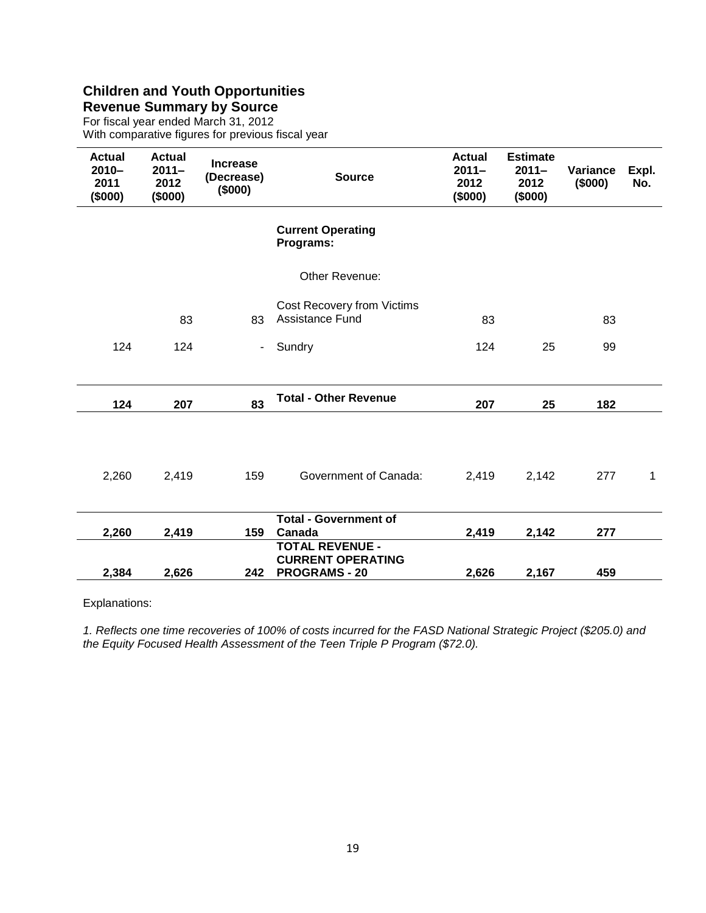#### **Children and Youth Opportunities Revenue Summary by Source**

For fiscal year ended March 31, 2012 With comparative figures for previous fiscal year

| <b>Actual</b><br>$2010 -$<br>2011<br>(\$000) | <b>Actual</b><br>$2011 -$<br>2012<br>(\$000) | <b>Increase</b><br>(Decrease)<br>(\$000) | <b>Source</b>                                        | <b>Actual</b><br>$2011 -$<br>2012<br>(5000) | <b>Estimate</b><br>$2011 -$<br>2012<br>(5000) | Variance<br>(\$000) | Expl.<br>No. |
|----------------------------------------------|----------------------------------------------|------------------------------------------|------------------------------------------------------|---------------------------------------------|-----------------------------------------------|---------------------|--------------|
|                                              |                                              |                                          | <b>Current Operating</b><br>Programs:                |                                             |                                               |                     |              |
|                                              |                                              |                                          | Other Revenue:                                       |                                             |                                               |                     |              |
|                                              | 83                                           | 83                                       | Cost Recovery from Victims<br><b>Assistance Fund</b> | 83                                          |                                               | 83                  |              |
| 124                                          | 124                                          | $\blacksquare$                           | Sundry                                               | 124                                         | 25                                            | 99                  |              |
|                                              |                                              |                                          |                                                      |                                             |                                               |                     |              |
| 124                                          | 207                                          | 83                                       | <b>Total - Other Revenue</b>                         | 207                                         | 25                                            | 182                 |              |
|                                              |                                              |                                          |                                                      |                                             |                                               |                     |              |
| 2,260                                        | 2,419                                        | 159                                      | Government of Canada:                                | 2,419                                       | 2,142                                         | 277                 | $\mathbf{1}$ |
|                                              |                                              |                                          | <b>Total - Government of</b>                         |                                             |                                               |                     |              |
| 2,260                                        | 2,419                                        | 159                                      | Canada                                               | 2,419                                       | 2,142                                         | 277                 |              |
|                                              |                                              |                                          | <b>TOTAL REVENUE -</b><br><b>CURRENT OPERATING</b>   |                                             |                                               |                     |              |
| 2,384                                        | 2,626                                        | 242                                      | <b>PROGRAMS - 20</b>                                 | 2,626                                       | 2,167                                         | 459                 |              |

Explanations:

*1. Reflects one time recoveries of 100% of costs incurred for the FASD National Strategic Project (\$205.0) and the Equity Focused Health Assessment of the Teen Triple P Program (\$72.0).*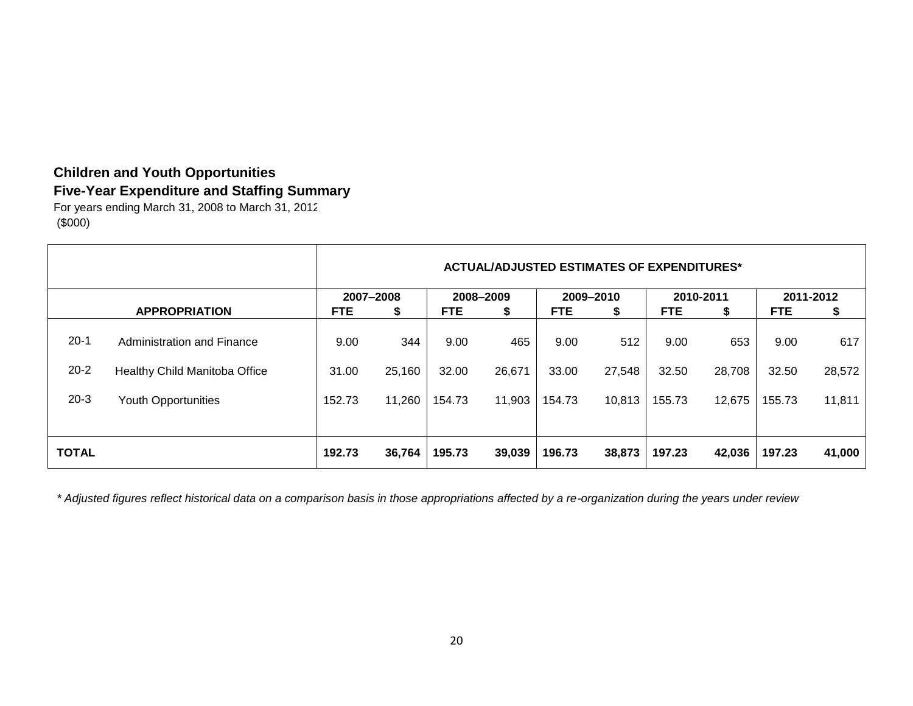## **Children and Youth Opportunities Five-Year Expenditure and Staffing Summary**

For years ending March 31, 2008 to March 31, 2012 (\$000)

|                                |                                                                                                  |                         |                         |                         |                         |                         | <b>ACTUAL/ADJUSTED ESTIMATES OF EXPENDITURES*</b> |                         |                         |                         |                         |
|--------------------------------|--------------------------------------------------------------------------------------------------|-------------------------|-------------------------|-------------------------|-------------------------|-------------------------|---------------------------------------------------|-------------------------|-------------------------|-------------------------|-------------------------|
|                                |                                                                                                  |                         | 2007-2008               |                         | 2008-2009               |                         | 2009-2010                                         |                         | 2010-2011               |                         | 2011-2012               |
|                                | <b>APPROPRIATION</b>                                                                             | <b>FTE</b>              | \$                      | <b>FTE</b>              | \$                      | <b>FTE</b>              | \$                                                | <b>FTE</b>              | \$                      | <b>FTE</b>              | \$                      |
| $20 - 1$<br>$20 - 2$<br>$20-3$ | Administration and Finance<br><b>Healthy Child Manitoba Office</b><br><b>Youth Opportunities</b> | 9.00<br>31.00<br>152.73 | 344<br>25,160<br>11,260 | 9.00<br>32.00<br>154.73 | 465<br>26,671<br>11,903 | 9.00<br>33.00<br>154.73 | 512<br>27,548<br>10,813                           | 9.00<br>32.50<br>155.73 | 653<br>28,708<br>12,675 | 9.00<br>32.50<br>155.73 | 617<br>28,572<br>11,811 |
| <b>TOTAL</b>                   |                                                                                                  | 192.73                  | 36,764                  | 195.73                  | 39,039                  | 196.73                  | 38,873                                            | 197.23                  | 42,036                  | 197.23                  | 41,000                  |

*\* Adjusted figures reflect historical data on a comparison basis in those appropriations affected by a re-organization during the years under review*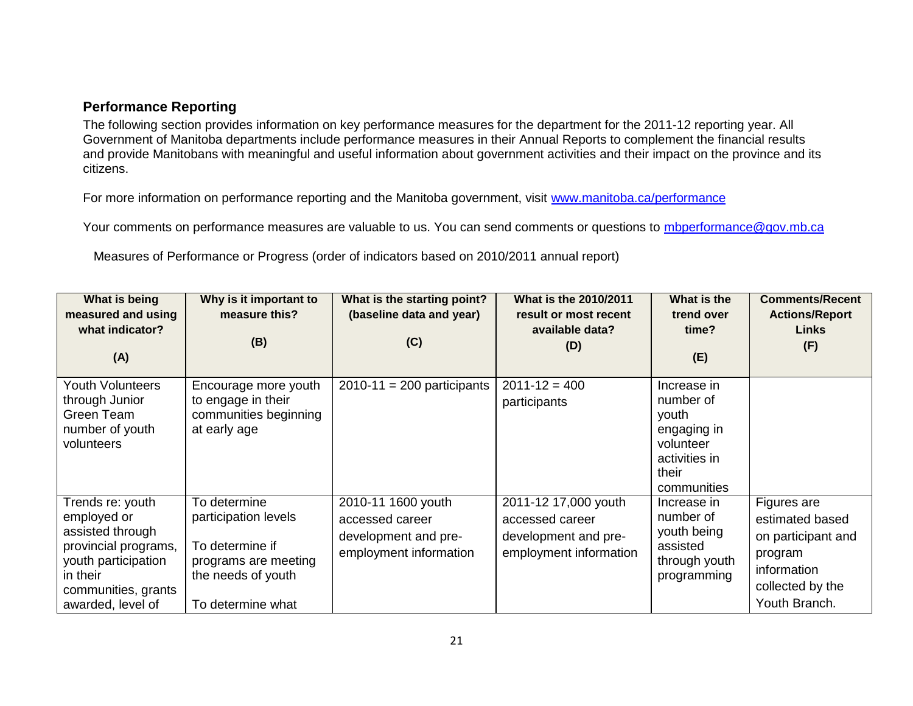#### **Performance Reporting**

The following section provides information on key performance measures for the department for the 2011-12 reporting year. All Government of Manitoba departments include performance measures in their Annual Reports to complement the financial results and provide Manitobans with meaningful and useful information about government activities and their impact on the province and its citizens.

For more information on performance reporting and the Manitoba government, visit [www.manitoba.ca/performance](http://www.manitoba.ca/performance)

Your comments on performance measures are valuable to us. You can send comments or questions to [mbperformance@gov.mb.ca](mailto:mbperformance@gov.mb.ca)

Measures of Performance or Progress (order of indicators based on 2010/2011 annual report)

| What is being<br>measured and using<br>what indicator?<br>(A)                                                                                              | Why is it important to<br>measure this?<br>(B)                                                                             | What is the starting point?<br>(baseline data and year)<br>(C)                          | What is the 2010/2011<br>result or most recent<br>available data?<br>(D)                  | What is the<br>trend over<br>time?<br>(E)                                                              | <b>Comments/Recent</b><br><b>Actions/Report</b><br><b>Links</b><br>(F)                                              |
|------------------------------------------------------------------------------------------------------------------------------------------------------------|----------------------------------------------------------------------------------------------------------------------------|-----------------------------------------------------------------------------------------|-------------------------------------------------------------------------------------------|--------------------------------------------------------------------------------------------------------|---------------------------------------------------------------------------------------------------------------------|
| <b>Youth Volunteers</b><br>through Junior<br>Green Team<br>number of youth<br>volunteers                                                                   | Encourage more youth<br>to engage in their<br>communities beginning<br>at early age                                        | $2010-11 = 200$ participants                                                            | $2011 - 12 = 400$<br>participants                                                         | Increase in<br>number of<br>youth<br>engaging in<br>volunteer<br>activities in<br>their<br>communities |                                                                                                                     |
| Trends re: youth<br>employed or<br>assisted through<br>provincial programs,<br>youth participation<br>in their<br>communities, grants<br>awarded, level of | To determine<br>participation levels<br>To determine if<br>programs are meeting<br>the needs of youth<br>To determine what | 2010-11 1600 youth<br>accessed career<br>development and pre-<br>employment information | 2011-12 17,000 youth<br>accessed career<br>development and pre-<br>employment information | Increase in<br>number of<br>youth being<br>assisted<br>through youth<br>programming                    | Figures are<br>estimated based<br>on participant and<br>program<br>information<br>collected by the<br>Youth Branch. |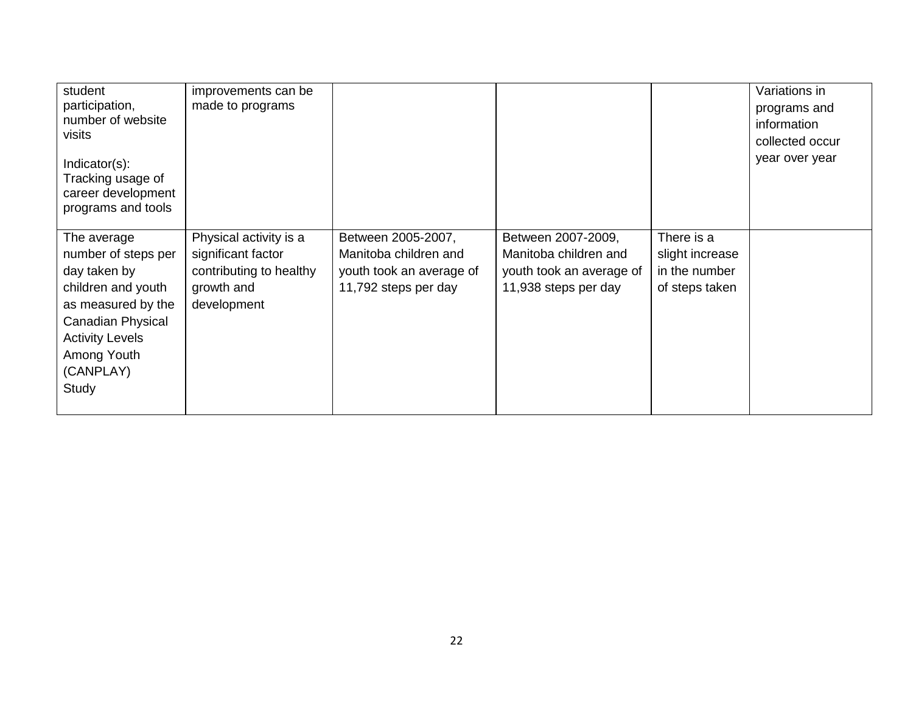| student<br>participation,<br>number of website<br>visits<br>Indicator(s):<br>Tracking usage of<br>career development<br>programs and tools                                         | improvements can be<br>made to programs                                                              |                                                                                                 |                                                                                                 |                                                                  | Variations in<br>programs and<br>information<br>collected occur<br>year over year |
|------------------------------------------------------------------------------------------------------------------------------------------------------------------------------------|------------------------------------------------------------------------------------------------------|-------------------------------------------------------------------------------------------------|-------------------------------------------------------------------------------------------------|------------------------------------------------------------------|-----------------------------------------------------------------------------------|
| The average<br>number of steps per<br>day taken by<br>children and youth<br>as measured by the<br>Canadian Physical<br><b>Activity Levels</b><br>Among Youth<br>(CANPLAY)<br>Study | Physical activity is a<br>significant factor<br>contributing to healthy<br>growth and<br>development | Between 2005-2007,<br>Manitoba children and<br>youth took an average of<br>11,792 steps per day | Between 2007-2009,<br>Manitoba children and<br>youth took an average of<br>11,938 steps per day | There is a<br>slight increase<br>in the number<br>of steps taken |                                                                                   |